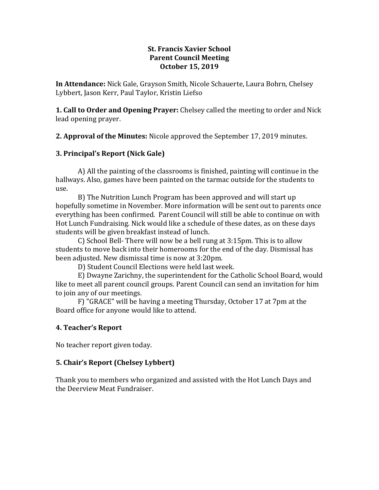#### **St. Francis Xavier School Parent Council Meeting October 15, 2019**

**In Attendance:** Nick Gale, Grayson Smith, Nicole Schauerte, Laura Bohrn, Chelsey Lybbert, Jason Kerr, Paul Taylor, Kristin Liefso

**1. Call to Order and Opening Prayer:** Chelsey called the meeting to order and Nick lead opening prayer.

**2. Approval of the Minutes:** Nicole approved the September 17, 2019 minutes.

# **3. Principal's Report (Nick Gale)**

A) All the painting of the classrooms is finished, painting will continue in the hallways. Also, games have been painted on the tarmac outside for the students to use.

B) The Nutrition Lunch Program has been approved and will start up hopefully sometime in November. More information will be sent out to parents once everything has been confirmed. Parent Council will still be able to continue on with Hot Lunch Fundraising. Nick would like a schedule of these dates, as on these days students will be given breakfast instead of lunch.

C) School Bell- There will now be a bell rung at 3:15pm. This is to allow students to move back into their homerooms for the end of the day. Dismissal has been adjusted. New dismissal time is now at 3:20pm.

D) Student Council Elections were held last week.

E) Dwayne Zarichny, the superintendent for the Catholic School Board, would like to meet all parent council groups. Parent Council can send an invitation for him to join any of our meetings.

F) "GRACE" will be having a meeting Thursday, October 17 at 7pm at the Board office for anyone would like to attend.

# **4. Teacher's Report**

No teacher report given today.

# **5. Chair's Report (Chelsey Lybbert)**

Thank you to members who organized and assisted with the Hot Lunch Days and the Deerview Meat Fundraiser.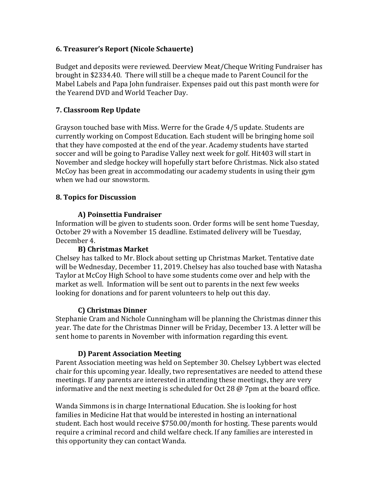### **6. Treasurer's Report (Nicole Schauerte)**

Budget and deposits were reviewed. Deerview Meat/Cheque Writing Fundraiser has brought in \$2334.40. There will still be a cheque made to Parent Council for the Mabel Labels and Papa John fundraiser. Expenses paid out this past month were for the Yearend DVD and World Teacher Day.

### **7. Classroom Rep Update**

Grayson touched base with Miss. Werre for the Grade 4/5 update. Students are currently working on Compost Education. Each student will be bringing home soil that they have composted at the end of the year. Academy students have started soccer and will be going to Paradise Valley next week for golf. Hit403 will start in November and sledge hockey will hopefully start before Christmas. Nick also stated McCoy has been great in accommodating our academy students in using their gym when we had our snowstorm.

### **8. Topics for Discussion**

### **A) Poinsettia Fundraiser**

Information will be given to students soon. Order forms will be sent home Tuesday, October 29 with a November 15 deadline. Estimated delivery will be Tuesday, December 4.

#### **B) Christmas Market**

Chelsey has talked to Mr. Block about setting up Christmas Market. Tentative date will be Wednesday, December 11, 2019. Chelsey has also touched base with Natasha Taylor at McCoy High School to have some students come over and help with the market as well. Information will be sent out to parents in the next few weeks looking for donations and for parent volunteers to help out this day.

#### **C) Christmas Dinner**

Stephanie Cram and Nichole Cunningham will be planning the Christmas dinner this year. The date for the Christmas Dinner will be Friday, December 13. A letter will be sent home to parents in November with information regarding this event.

# **D) Parent Association Meeting**

Parent Association meeting was held on September 30. Chelsey Lybbert was elected chair for this upcoming year. Ideally, two representatives are needed to attend these meetings. If any parents are interested in attending these meetings, they are very informative and the next meeting is scheduled for Oct 28  $\omega$  7pm at the board office.

Wanda Simmons is in charge International Education. She is looking for host families in Medicine Hat that would be interested in hosting an international student. Each host would receive \$750.00/month for hosting. These parents would require a criminal record and child welfare check. If any families are interested in this opportunity they can contact Wanda.